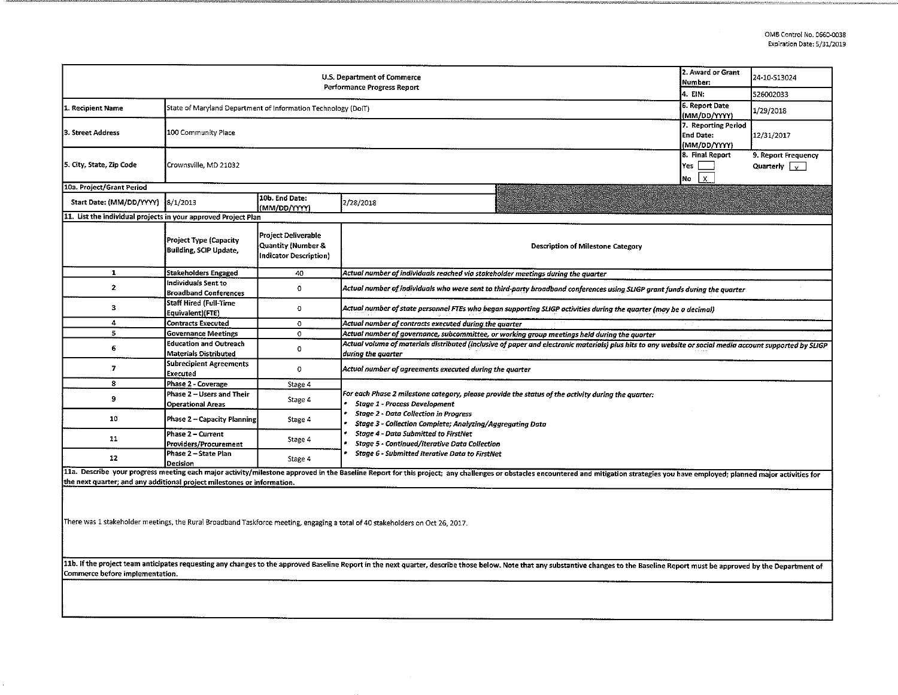$\sim$ 

| 2. Award or Grant<br>U.S. Department of Commerce<br>Number:<br>Performance Progress Report                                                                                                                                                                        |                                                                                                |                                                                                                                            |                                                                                                                                                                                                                                |                                                             | 24-10-513024<br>526002033                               |  |  |  |  |  |
|-------------------------------------------------------------------------------------------------------------------------------------------------------------------------------------------------------------------------------------------------------------------|------------------------------------------------------------------------------------------------|----------------------------------------------------------------------------------------------------------------------------|--------------------------------------------------------------------------------------------------------------------------------------------------------------------------------------------------------------------------------|-------------------------------------------------------------|---------------------------------------------------------|--|--|--|--|--|
| 1. Recipient Name                                                                                                                                                                                                                                                 | State of Maryland Department of Information Technology (DoIT)                                  | 4. EIN.<br>6. Report Date<br>(MM/DD/YYYY)                                                                                  | 1/29/2018                                                                                                                                                                                                                      |                                                             |                                                         |  |  |  |  |  |
| 3. Street Address                                                                                                                                                                                                                                                 | 100 Community Place                                                                            | 7. Reporting Period<br><b>End Date:</b><br>(MM/DD/YYYY)                                                                    | 12/31/2017                                                                                                                                                                                                                     |                                                             |                                                         |  |  |  |  |  |
| 5. City, State, Zip Code                                                                                                                                                                                                                                          | Crownsville, MD 21032                                                                          |                                                                                                                            |                                                                                                                                                                                                                                | 8. Final Report<br>Yes<br>lNo.<br>$\boldsymbol{\mathsf{x}}$ | 9. Report Frequency<br>Quarterly $\sqrt{\phantom{a}}_X$ |  |  |  |  |  |
| 10a. Project/Grant Period                                                                                                                                                                                                                                         |                                                                                                |                                                                                                                            |                                                                                                                                                                                                                                |                                                             |                                                         |  |  |  |  |  |
| Start Date: (MM/DD/YYYY)                                                                                                                                                                                                                                          | 8/1/2013                                                                                       | 10b. End Date:<br>(MM/DD/YYYY)                                                                                             | 2/28/2018                                                                                                                                                                                                                      |                                                             |                                                         |  |  |  |  |  |
| 11. List the individual projects in your approved Project Plan                                                                                                                                                                                                    |                                                                                                |                                                                                                                            |                                                                                                                                                                                                                                |                                                             |                                                         |  |  |  |  |  |
|                                                                                                                                                                                                                                                                   | Project Type (Capacity<br><b>Building, SCIP Update,</b>                                        | <b>Project Deliverable</b><br>Quantity (Number &<br>Indicator Description)                                                 | <b>Description of Milestone Category</b>                                                                                                                                                                                       |                                                             |                                                         |  |  |  |  |  |
| $\mathbf{1}$                                                                                                                                                                                                                                                      | Stakeholders Engaged                                                                           | 40                                                                                                                         | Actual number of individuals reached via stakeholder meetings during the quarter                                                                                                                                               |                                                             |                                                         |  |  |  |  |  |
| $\overline{2}$                                                                                                                                                                                                                                                    | Individuals Sent to<br><b>Broadband Conferences</b>                                            | Actual number of individuals who were sent to third-party broadband conferences using SLIGP grant funds during the quarter |                                                                                                                                                                                                                                |                                                             |                                                         |  |  |  |  |  |
| з                                                                                                                                                                                                                                                                 | <b>Staff Hired (Full-Time</b><br>Equivalent)(FTE)                                              | $\bullet$                                                                                                                  | Actual number of state personnel FTEs who began supporting SLIGP activities during the quarter (may be a decimal)                                                                                                              |                                                             |                                                         |  |  |  |  |  |
| $\overline{\mathbf{4}}$                                                                                                                                                                                                                                           | <b>Contracts Executed</b><br>$\circ$<br>Actual number of contracts executed during the quarter |                                                                                                                            |                                                                                                                                                                                                                                |                                                             |                                                         |  |  |  |  |  |
| 5                                                                                                                                                                                                                                                                 | <b>Governance Meetings</b>                                                                     | $\circ$                                                                                                                    | Actual number of governance, subcommittee, or working group meetings held during the quarter                                                                                                                                   |                                                             |                                                         |  |  |  |  |  |
| 6                                                                                                                                                                                                                                                                 | <b>Education and Outreach</b><br><b>Materials Distributed</b>                                  | $\bullet$                                                                                                                  | Actual volume of materials distributed (inclusive of paper and electronic materials) plus hits to any website or social media account supported by SLIGP<br>during the quarter                                                 |                                                             |                                                         |  |  |  |  |  |
| 7                                                                                                                                                                                                                                                                 | <b>Subrecipient Agreements</b><br>Executed                                                     | $\mathbf 0$                                                                                                                | Actual number of agreements executed during the quarter                                                                                                                                                                        |                                                             |                                                         |  |  |  |  |  |
| 8                                                                                                                                                                                                                                                                 | Phase 2 - Coverage                                                                             | Stage 4                                                                                                                    |                                                                                                                                                                                                                                |                                                             |                                                         |  |  |  |  |  |
| 9                                                                                                                                                                                                                                                                 | Phase 2 - Users and Their<br><b>Operational Areas</b>                                          | Stage 4                                                                                                                    | For each Phase 2 milestone category, please provide the status of the activity during the quarter:<br><b>Stage 1 - Process Development</b>                                                                                     |                                                             |                                                         |  |  |  |  |  |
| 10                                                                                                                                                                                                                                                                | <b>Phase 2 - Capacity Planning</b>                                                             | Stage 4                                                                                                                    | <b>Stage 2 - Data Collection in Progress</b><br>Stage 3 - Collection Complete; Analyzing/Aggregating Data                                                                                                                      |                                                             |                                                         |  |  |  |  |  |
| 11                                                                                                                                                                                                                                                                | Phase 2 - Current<br><b>Providers/Procurement</b>                                              | Stage 4                                                                                                                    | <b>Stage 4 - Data Submitted to FirstNet</b><br><b>Stage 5 - Continued/Iterative Data Collection</b>                                                                                                                            |                                                             |                                                         |  |  |  |  |  |
| 12                                                                                                                                                                                                                                                                | Phase 2 - State Plan<br>Decision                                                               | Stage 4                                                                                                                    | Stage 6 - Submitted Iterative Data to FirstNet                                                                                                                                                                                 |                                                             |                                                         |  |  |  |  |  |
| the next quarter; and any additional project milestones or information.                                                                                                                                                                                           |                                                                                                |                                                                                                                            | 11a. Describe your progress meeting each major activity/milestone approved in the Baseline Report for this project; any challenges or obstacles encountered and mitigation strategies you have employed; planned major activit |                                                             |                                                         |  |  |  |  |  |
| There was 1 stakeholder meetings, the Rural Broadband Taskforce meeting, engaging a total of 40 stakeholders on Oct 26, 2017.                                                                                                                                     |                                                                                                |                                                                                                                            |                                                                                                                                                                                                                                |                                                             |                                                         |  |  |  |  |  |
| 11b. If the project team anticipates requesting any changes to the approved Baseline Report in the next quarter, describe those below. Note that any substantive changes to the Baseline Report must be approved by the Depart<br>Commerce before implementation. |                                                                                                |                                                                                                                            |                                                                                                                                                                                                                                |                                                             |                                                         |  |  |  |  |  |
|                                                                                                                                                                                                                                                                   |                                                                                                |                                                                                                                            |                                                                                                                                                                                                                                |                                                             |                                                         |  |  |  |  |  |

--------------------------------~--~""'~-. ~•='•M~••,H,c """"'"'•rn•••-•»c,fa.;,,,,,-~· · • •• •-m,mm••••••· ;,,,;~y· fo,c,•0,.;c ""~"°"-'=•••••• , c==.v=c==o"""'---"'"'"'-'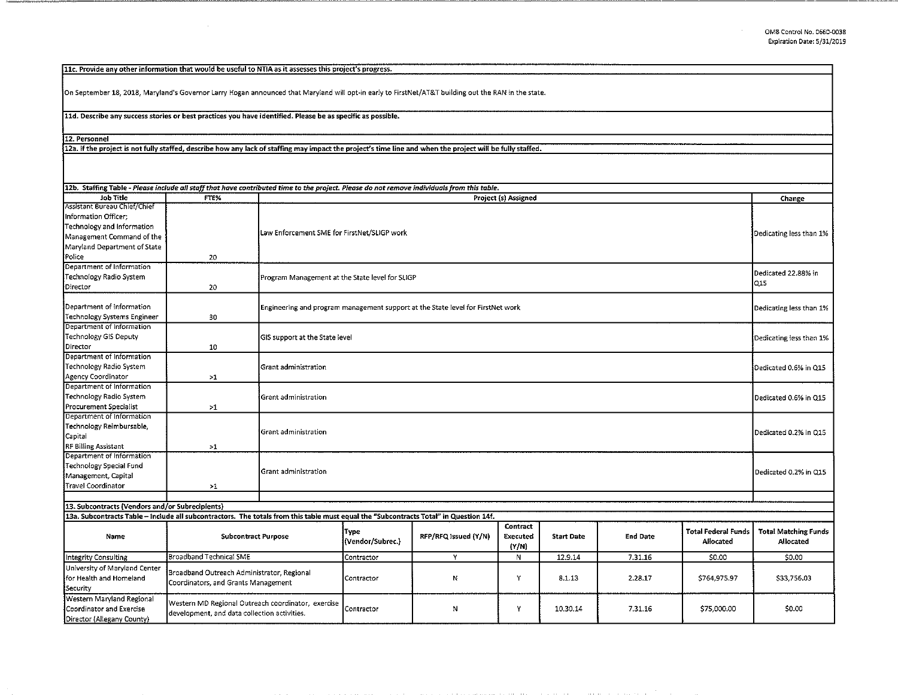$\bar{z}$ 

llc. Provide any other information that would be useful to NTIA as it assesses this project's progress.

On September 18, 2018, Maryland's Governor Larry Hogan announced that Maryland will opt-in early to FirstNet/AT&T building out the RAN in the state.

11d. Describe any success stories or best practices you have identified. Please be as specific as possible.

12. Personnel

12a. If the project is not fully staffed, describe how any lack of staffing may impact the project's time line and when the project will be fully staffed.

| 12b. Staffing Table - Please include all staff that have contributed time to the project. Please do not remove individuals from this table. |                                                                                                    |                                                                                                            |                                                           |                      |                   |                   |                 |                                                |                                                 |  |
|---------------------------------------------------------------------------------------------------------------------------------------------|----------------------------------------------------------------------------------------------------|------------------------------------------------------------------------------------------------------------|-----------------------------------------------------------|----------------------|-------------------|-------------------|-----------------|------------------------------------------------|-------------------------------------------------|--|
| Job Title<br>Assistant Bureau Chief/Chief                                                                                                   | FTE%                                                                                               | Project (s) Assigned                                                                                       |                                                           |                      |                   |                   |                 | Change                                         |                                                 |  |
| Information Officer;<br>Technology and Information<br>Management Command of the<br>Maryland Department of State<br>Police                   | 20                                                                                                 | Law Enforcement SME for FirstNet/SLIGP work                                                                |                                                           |                      |                   |                   |                 | Dedicating less than 1%                        |                                                 |  |
| Department of Information                                                                                                                   |                                                                                                    |                                                                                                            |                                                           |                      |                   |                   |                 |                                                |                                                 |  |
| Technology Radio System<br>Director                                                                                                         | 20                                                                                                 | Dedicated 22.88% in<br>Program Management at the State level for SLIGP<br>Q15                              |                                                           |                      |                   |                   |                 |                                                |                                                 |  |
| Department of Information<br>Technology Systems Engineer                                                                                    | 30                                                                                                 | Engineering and program management support at the State level for FirstNet work<br>Dedicating less than 1% |                                                           |                      |                   |                   |                 |                                                |                                                 |  |
| Department of Information                                                                                                                   |                                                                                                    |                                                                                                            |                                                           |                      |                   |                   |                 |                                                |                                                 |  |
| Technology GIS Deputy<br>Director                                                                                                           | 10                                                                                                 |                                                                                                            | GIS support at the State level<br>Dedicating less than 1% |                      |                   |                   |                 |                                                |                                                 |  |
| Department of Information                                                                                                                   |                                                                                                    |                                                                                                            |                                                           |                      |                   |                   |                 |                                                |                                                 |  |
| Technology Radio System                                                                                                                     |                                                                                                    | Grant administration                                                                                       |                                                           |                      |                   |                   |                 |                                                | Dedicated 0.6% in Q15                           |  |
| Agency Coordinator                                                                                                                          | >1                                                                                                 |                                                                                                            |                                                           |                      |                   |                   |                 |                                                |                                                 |  |
| Department of Information<br>Technology Radio System<br>Procurement Specialist                                                              | >1                                                                                                 | Grant administration                                                                                       | Dedicated 0.6% in Q15                                     |                      |                   |                   |                 |                                                |                                                 |  |
| Department of Information                                                                                                                   |                                                                                                    |                                                                                                            |                                                           |                      |                   |                   |                 |                                                |                                                 |  |
| Technology Reimbursable,<br>Capital                                                                                                         |                                                                                                    | Grant administration<br>Dedicated 0.2% in Q15                                                              |                                                           |                      |                   |                   |                 |                                                |                                                 |  |
| <b>RF Billing Assistant</b>                                                                                                                 | >1                                                                                                 |                                                                                                            |                                                           |                      |                   |                   |                 |                                                |                                                 |  |
| Department of Information<br>Technology Special Fund<br>Management, Capital<br><b>Travel Coordinator</b>                                    | >1                                                                                                 | Grant administration<br>Dedicated 0.2% in Q15                                                              |                                                           |                      |                   |                   |                 |                                                |                                                 |  |
|                                                                                                                                             |                                                                                                    |                                                                                                            |                                                           |                      |                   |                   |                 |                                                |                                                 |  |
| 13. Subcontracts (Vendors and/or Subrecipients)                                                                                             |                                                                                                    |                                                                                                            |                                                           |                      |                   |                   |                 |                                                |                                                 |  |
| 13a. Subcontracts Table - include all subcontractors. The totals from this table must equal the "Subcontracts Total" in Question 14f.       |                                                                                                    |                                                                                                            |                                                           |                      | Contract          |                   |                 |                                                |                                                 |  |
| Name                                                                                                                                        | <b>Subcontract Purpose</b>                                                                         |                                                                                                            | Type<br>(Vendor/Subrec.)                                  | RFP/RFQ Issued (Y/N) | Executed<br>(Y/N) | <b>Start Date</b> | <b>End Date</b> | <b>Total Federal Funds</b><br><b>Allocated</b> | <b>Total Matching Funds</b><br><b>Allocated</b> |  |
| Integrity Consulting                                                                                                                        | <b>Broadband Technical SME</b>                                                                     |                                                                                                            | Contractor                                                | Y                    | N                 | 12.9.14           | 7.31.16         | \$0.00                                         | \$0.00                                          |  |
| University of Maryland Center<br>for Health and Homeland<br>Security                                                                        | Broadband Outreach Administrator, Regional<br>Coordinators, and Grants Management                  |                                                                                                            | Contractor                                                | N                    | Y                 | 8.1.13            | 2.28.17         | \$764,975.97                                   | \$33,756.03                                     |  |
| Western Maryland Regional<br>Coordinator and Exercise<br>Director (Allegany County)                                                         | Western MD Regional Outreach coordinator, exercise<br>development, and data collection activities. |                                                                                                            | Contractor                                                | N                    | Y                 | 10.30.14          | 7.31.16         | S75,000.00                                     | \$0.00                                          |  |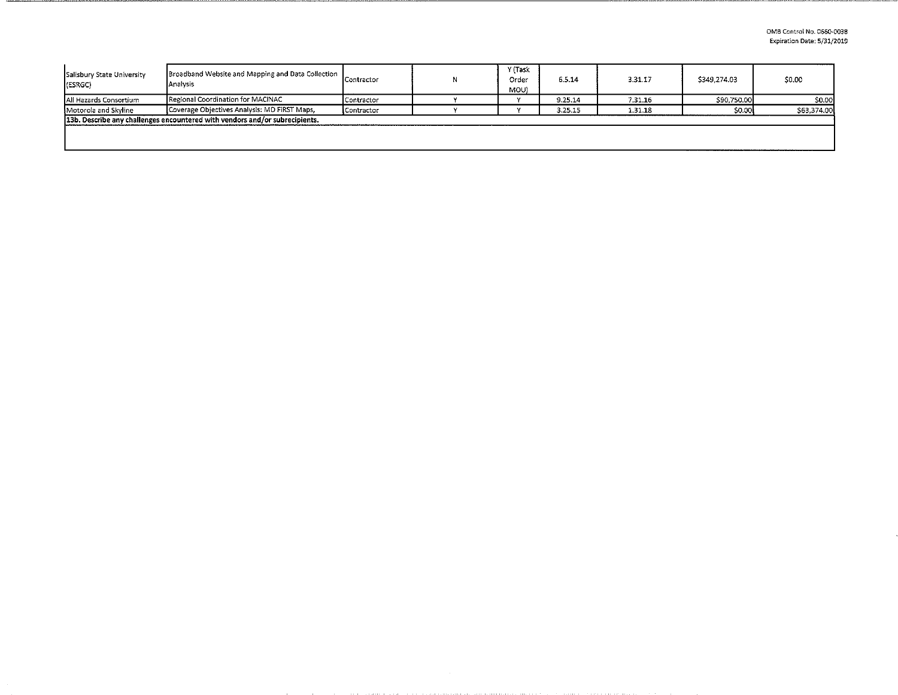| Salisbury State University<br>(ESRGC)                                       | Broadband Website and Mapping and Data Collection<br>Analysis | Contractor |  | Y (Task<br>Order<br>MOU) | 6.5.14  | 3.31.17 | \$349,274.03 | \$0.00      |
|-----------------------------------------------------------------------------|---------------------------------------------------------------|------------|--|--------------------------|---------|---------|--------------|-------------|
| IAII Hazards Consortium                                                     | Regional Coordination for MACINAC                             | Contractor |  |                          | 9.25.14 | 7.31.16 | \$90,750.00  | \$0.00      |
| Motorola and Skyline                                                        | Coverage Objectives Analysis: MD FIRST Maps,                  | Contractor |  |                          | 3.25.15 | 1.31.18 | \$0.00       | \$63,374,00 |
| 13b. Describe any challenges encountered with vendors and/or subrecipients. |                                                               |            |  |                          |         |         |              |             |
|                                                                             |                                                               |            |  |                          |         |         |              |             |
|                                                                             |                                                               |            |  |                          |         |         |              |             |